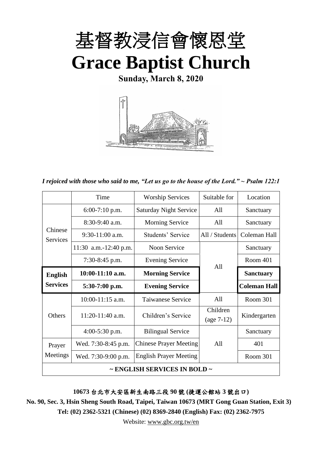

**Sunday, March 8, 2020**



*I rejoiced with those who said to me, "Let us go to the house of the Lord." ~ Psalm 122:1*

|                            | Time                  | <b>Worship Services</b>       | Suitable for   | Location            |
|----------------------------|-----------------------|-------------------------------|----------------|---------------------|
|                            | $6:00-7:10$ p.m.      | <b>Saturday Night Service</b> | All            | Sanctuary           |
|                            | $8:30-9:40$ a.m.      | <b>Morning Service</b>        | All            | Sanctuary           |
| Chinese<br><b>Services</b> | $9:30-11:00$ a.m.     | Students' Service             | All / Students | Coleman Hall        |
|                            | 11:30 a.m.-12:40 p.m. | Noon Service                  |                | Sanctuary           |
|                            | $7:30-8:45$ p.m.      | <b>Evening Service</b>        | All            | Room 401            |
| <b>English</b>             | $10:00-11:10$ a.m.    | <b>Morning Service</b>        |                | <b>Sanctuary</b>    |
| <b>Services</b>            | $5:30-7:00$ p.m.      | <b>Evening Service</b>        |                | <b>Coleman Hall</b> |
|                            | $10:00-11:15$ a.m.    | <b>Taiwanese Service</b>      | A11            | Room 301            |
| Others                     | 11:20-11:40 a.m.      | Children's Service            | Children       | Kindergarten        |
|                            |                       |                               | $(age 7-12)$   |                     |
|                            | $4:00-5:30$ p.m.      | <b>Bilingual Service</b>      |                | Sanctuary           |
| Prayer                     | Wed. 7:30-8:45 p.m.   | <b>Chinese Prayer Meeting</b> | A11            | 401                 |
| Meetings                   | Wed. 7:30-9:00 p.m.   | <b>English Prayer Meeting</b> |                | Room 301            |
|                            |                       | ~ ENGLISH SERVICES IN BOLD ~  |                |                     |

**10673** 台北市大安區新生南路三段 **90** 號 **(**捷運公館站 **3** 號出口**)**

**No. 90, Sec. 3, Hsin Sheng South Road, Taipei, Taiwan 10673 (MRT Gong Guan Station, Exit 3) Tel: (02) 2362-5321 (Chinese) (02) 8369-2840 (English) Fax: (02) 2362-7975**

Website: [www.gbc.org.tw/en](http://www.gbc.org.tw/en)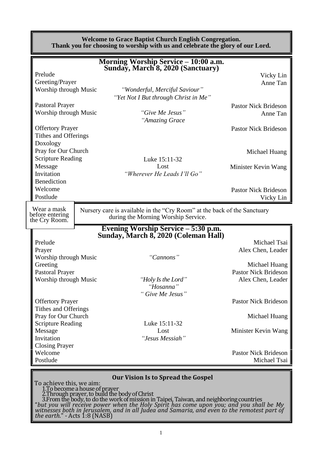|                                                 | <b>Welcome to Grace Baptist Church English Congregation.</b><br>Thank you for choosing to worship with us and celebrate the glory of our Lord.         |                             |
|-------------------------------------------------|--------------------------------------------------------------------------------------------------------------------------------------------------------|-----------------------------|
|                                                 | <b>Morning Worship Service - 10:00 a.m.</b><br>Sunday, March 8, 2020 (Sanctuary)                                                                       |                             |
| Prelude                                         |                                                                                                                                                        |                             |
| Greeting/Prayer                                 |                                                                                                                                                        | Vicky Lin<br>Anne Tan       |
| Worship through Music                           | "Wonderful, Merciful Saviour"                                                                                                                          |                             |
|                                                 | "Yet Not I But through Christ in Me"                                                                                                                   |                             |
| <b>Pastoral Prayer</b>                          |                                                                                                                                                        | <b>Pastor Nick Brideson</b> |
| Worship through Music                           | "Give Me Jesus"                                                                                                                                        | Anne Tan                    |
|                                                 | "Amazing Grace                                                                                                                                         |                             |
| <b>Offertory Prayer</b>                         |                                                                                                                                                        | <b>Pastor Nick Brideson</b> |
| Tithes and Offerings                            |                                                                                                                                                        |                             |
| Doxology                                        |                                                                                                                                                        |                             |
| Pray for Our Church                             |                                                                                                                                                        | Michael Huang               |
| <b>Scripture Reading</b>                        | Luke 15:11-32                                                                                                                                          |                             |
| Message                                         | Lost                                                                                                                                                   | Minister Kevin Wang         |
| Invitation                                      | "Wherever He Leads I'll Go"                                                                                                                            |                             |
| <b>Benediction</b>                              |                                                                                                                                                        |                             |
| Welcome                                         |                                                                                                                                                        | <b>Pastor Nick Brideson</b> |
| Postlude                                        |                                                                                                                                                        | Vicky Lin                   |
| Wear a mask<br>before entering<br>the Cry Room. | Nursery care is available in the "Cry Room" at the back of the Sanctuary<br>during the Morning Worship Service.<br>Evening Worship Service – 5:30 p.m. |                             |
|                                                 | Sunday, March 8, 2020 (Coleman Hall)                                                                                                                   |                             |
| Prelude                                         |                                                                                                                                                        | Michael Tsai                |
| Prayer                                          |                                                                                                                                                        | Alex Chen, Leader           |
| Worship through Music                           | "Cannons"                                                                                                                                              |                             |
| Greeting                                        |                                                                                                                                                        | Michael Huang               |
| <b>Pastoral Prayer</b>                          |                                                                                                                                                        | <b>Pastor Nick Brideson</b> |
| Worship through Music                           | "Holy Is the Lord"<br>"Hosanna"                                                                                                                        | Alex Chen, Leader           |
|                                                 | "Give Me Jesus"                                                                                                                                        |                             |
| <b>Offertory Prayer</b><br>Tithes and Offerings |                                                                                                                                                        | <b>Pastor Nick Brideson</b> |
| Pray for Our Church                             |                                                                                                                                                        | Michael Huang               |
| <b>Scripture Reading</b>                        | Luke 15:11-32                                                                                                                                          |                             |
| Message                                         | Lost                                                                                                                                                   | Minister Kevin Wang         |
| Invitation                                      | "Jesus Messiah"                                                                                                                                        |                             |
| <b>Closing Prayer</b>                           |                                                                                                                                                        |                             |
| Welcome                                         |                                                                                                                                                        | <b>Pastor Nick Brideson</b> |
| Postlude                                        |                                                                                                                                                        | Michael Tsai                |
|                                                 |                                                                                                                                                        |                             |
| To achieve this, we aim:                        | <b>Our Vision Is to Spread the Gospel</b>                                                                                                              |                             |

1.To become a house of prayer 2.Through prayer, to build the body of Christ 3.From the body, to do the work of mission in Taipei, Taiwan, and neighboring countries "*but you will receive power when the Holy Spirit has come upon you; and you shall be My witnesses both in Jerusalem, and in all Judea and Samaria, and even to the remotest part of the earth*." - Acts 1:8 (NASB)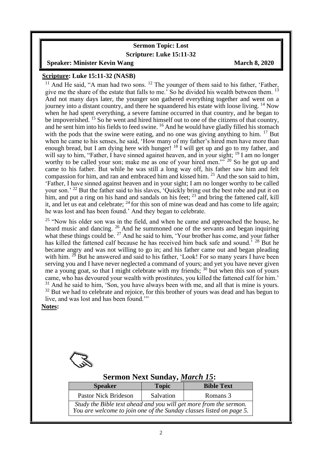#### **Sermon Topic: Lost Scripture: Luke 15:11-32**

**Speaker:** Minister Kevin Wang March 8, 2020

#### **Scripture: Luke 15:11-32 (NASB)**

<sup>11</sup> And He said, "A man had two sons. <sup>12</sup> The younger of them said to his father, 'Father, give me the share of the estate that falls to me.<sup> $\dot{\ }$ </sup> So he divided his wealth between them.<sup>13</sup> And not many days later, the younger son gathered everything together and went on a journey into a distant country, and there he squandered his estate with loose living. <sup>14</sup> Now when he had spent everything, a severe famine occurred in that country, and he began to be impoverished. <sup>15</sup> So he went and hired himself out to one of the citizens of that country, and he sent him into his fields to feed swine. <sup>16</sup> And he would have gladly filled his stomach with the pods that the swine were eating, and no one was giving anything to him. <sup>17</sup> But when he came to his senses, he said, 'How many of my father's hired men have more than enough bread, but I am dying here with hunger! <sup>18</sup> I will get up and go to my father, and will say to him, "Father, I have sinned against heaven, and in your sight; <sup>19</sup> I am no longer worthy to be called your son; make me as one of your hired men."<sup>5</sup><sup>20</sup> So he got up and came to his father. But while he was still a long way off, his father saw him and felt compassion for him, and ran and embraced him and kissed him. <sup>21</sup> And the son said to him, 'Father, I have sinned against heaven and in your sight; I am no longer worthy to be called your son.' <sup>22</sup> But the father said to his slaves, 'Quickly bring out the best robe and put it on him, and put a ring on his hand and sandals on his feet;  $^{23}$  and bring the fattened calf, kill it, and let us eat and celebrate;  $^{24}$  for this son of mine was dead and has come to life again; he was lost and has been found.' And they began to celebrate.

<sup>25</sup> "Now his older son was in the field, and when he came and approached the house, he heard music and dancing. <sup>26</sup> And he summoned one of the servants and began inquiring what these things could be. <sup>27</sup> And he said to him, 'Your brother has come, and your father has killed the fattened calf because he has received him back safe and sound.<sup>5</sup> <sup>28</sup> But he became angry and was not willing to go in; and his father came out and began pleading with him.  $2^5$  But he answered and said to his father, 'Look! For so many years I have been serving you and I have never neglected a command of yours; and yet you have never given me a young goat, so that I might celebrate with my friends; <sup>30</sup> but when this son of yours came, who has devoured your wealth with prostitutes, you killed the fattened calf for him.'  $31$  And he said to him, 'Son, you have always been with me, and all that is mine is yours.  $32$  But we had to celebrate and rejoice, for this brother of yours was dead and has begun to live, and was lost and has been found.'"

#### **Notes:**

 $\overline{\phantom{a}}$ 



#### **Sermon Next Sunday,** *March 15***:**

| <b>Speaker</b>                                                                                                                           | <b>Topic</b> | <b>Bible Text</b> |
|------------------------------------------------------------------------------------------------------------------------------------------|--------------|-------------------|
| <b>Pastor Nick Brideson</b>                                                                                                              | Salvation    | Romans 3          |
| Study the Bible text ahead and you will get more from the sermon.<br>You are welcome to join one of the Sunday classes listed on page 5. |              |                   |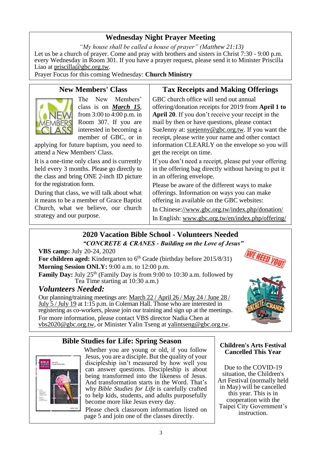### **Wednesday Night Prayer Meeting**

*"My house shall be called a house of prayer" (Matthew 21:13)* Let us be a church of prayer. Come and pray with brothers and sisters in Christ 7:30 - 9:00 p.m. every Wednesday in Room 301. If you have a prayer request, please send it to Minister Priscilla Liao at [priscilla@gbc.org.tw.](mailto:priscilla@gbc.org.tw)

Prayer Focus for this coming Wednesday: **Church Ministry**

### **New Members' Class**



The New Members' class is on *March 15*, from 3:00 to 4:00 p.m. in Room 307. If you are interested in becoming a member of GBC, or in

applying for future baptism*,* you need to attend a New Members' Class.

It is a one-time only class and is currently held every 3 months. Please go directly to the class and bring ONE 2-inch ID picture for the registration form.

During that class, we will talk about what it means to be a member of Grace Baptist Church, what we believe, our church strategy and our purpose.

#### **Tax Receipts and Making Offerings**

GBC church office will send out annual offering/donation receipts for 2019 from **April 1 to April 20**. If you don't receive your receipt in the mail by then or have questions, please contact SueJenny at: [suejenny@gbc.org.tw.](mailto:suejenny@gbc.org.tw) If you want the receipt, please write your name and other contact information CLEARLY on the envelope so you will get the receipt on time.

If you don't need a receipt, please put your offering in the offering bag directly without having to put it in an offering envelope.

Please be aware of the different ways to make offerings. Information on ways you can make offering in available on the GBC websites:

In Chinese[://www.gbc.org.tw/index.php/donation/](https://www.gbc.org.tw/index.php/donation/) In English: [www.gbc.org.tw/en/index.php/offering/](http://www.gbc.org.tw/en/index.php/offering/)

### **2020 Vacation Bible School - Volunteers Needed** *"CONCRETE & CRANES - Building on the Love of Jesus"*

**VBS camp:** July 20-24, 2020

For children aged: Kindergarten to 6<sup>th</sup> Grade (birthday before 2015/8/31) **Morning Session ONLY:** 9:00 a.m. to 12:00 p.m.

**Family Day:** July 25<sup>th</sup> (Family Day is from 9:00 to 10:30 a.m. followed by Tea Time starting at 10:30 a.m.)

### *Volunteers Needed:*

Our planning/training meetings are: March 22 / April 26 / May 24 / June 28 / July 5 / July 19 at 1:15 p.m. in Coleman Hall. Those who are interested in registering as co-workers, please join our training and sign up at the meetings. For more information, please contact VBS director Nadia Chen at [vbs2020@gbc.org.tw,](mailto:vbs2020@gbc.org.tw) or Minister Yalin Tseng at [yalintseng@gbc.org.tw.](mailto:yalintseng@gbc.org.tw)



### **Bible Studies for Life: Spring Season**



Whether you are young or old, if you follow Jesus, you are a disciple. But the quality of your discipleship isn't measured by how well you can answer questions. Discipleship is about being transformed into the likeness of Jesus. And transformation starts in the Word. That's why *Bible Studies for Life* is carefully crafted to help kids, students, and adults purposefully become more like Jesus every day.

Please check classroom information listed on page 5 and join one of the classes directly.

#### **Children's Arts Festival Cancelled This Year**

Due to the COVID-19 situation, the Children's Art Festival (normally held in May) will be cancelled this year. This is in cooperation with the Taipei City Government's instruction.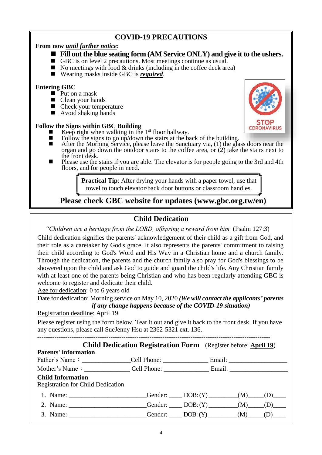### **COVID-19 PRECAUTIONS**

#### **From now** *until further notice***:**

- Fill out the blue seating form **(AM Service ONLY)** and give it to the ushers.
- GBC is on level 2 precautions. Most meetings continue as usual.
- $\blacksquare$  No meetings with food & drinks (including in the coffee deck area)
- Wearing masks inside GBC is *required*.

#### **Entering GBC**

- $\blacksquare$  Put on a mask
- Clean your hands
- Check your temperature
- $\blacksquare$  Avoid shaking hands

#### **Follow the Signs within GBC Building**

- Eulie Keep right when walking in the 1<sup>st</sup> floor hallway.<br>
Follow the signs to go up/down the stairs at the ball
- $\blacksquare$  Follow the signs to go up/down the stairs at the back of the building.<br>After the Morning Service, please leave the Sanctuary via (1) the gla
- After the Morning Service, please leave the Sanctuary via, (1) the glass doors near the organ and go down the outdoor stairs to the coffee area, or (2) take the stairs next to the front desk.
- Please use the stairs if you are able. The elevator is for people going to the 3rd and 4th floors, and for people in need.

**Practical Tip:** After drying your hands with a paper towel, use that towel to touch elevator/back door buttons or classroom handles.

### **Please check GBC website for updates (www.gbc.org.tw/en)**

### **Child Dedication**

*"Children are a heritage from the LORD, offspring a reward from him.* (Psalm 127:3)

Child dedication signifies the parents' acknowledgement of their child as a gift from God, and their role as a caretaker by God's grace. It also represents the parents' commitment to raising their child according to God's Word and His Way in a Christian home and a church family. Through the dedication, the parents and the church family also pray for God's blessings to be showered upon the child and ask God to guide and guard the child's life. Any Christian family with at least one of the parents being Christian and who has been regularly attending GBC is welcome to register and dedicate their child.

Age for dedication: 0 to 6 years old

Date for dedication: Morning service on May 10, 2020 *(We will contact the applicants' parents* 

*if any change happens because of the COVID-19 situation)*

#### Registration deadline: April 19

Please register using the form below. Tear it out and give it back to the front desk. If you have any questions, please call SueJenny Hsu at 2362-5321 ext. 136.

------------------------------------------------------------------------------------------------------------

|                                                                                                      | <b>Child Dedication Registration Form</b> (Register before: April 19) |  |  |
|------------------------------------------------------------------------------------------------------|-----------------------------------------------------------------------|--|--|
| <b>Parents' information</b>                                                                          |                                                                       |  |  |
| Father's Name: ________________Cell Phone: ________________________Email: __________________________ |                                                                       |  |  |
| Mother's Name: _________________Cell Phone: ______________________Email: ___________________________ |                                                                       |  |  |
| <b>Child Information</b><br><b>Registration for Child Dedication</b>                                 |                                                                       |  |  |
| 1. Name: _________________________Gender: ______DOB: $(Y)$ _________(M)____(D)____                   |                                                                       |  |  |
| 2. Name: Gender: DOB: $(Y)$ (M) (D)                                                                  |                                                                       |  |  |
| 3. Name: __________________________Gender: _____DOB: $(Y)$ ________(M) ____(D)____                   |                                                                       |  |  |

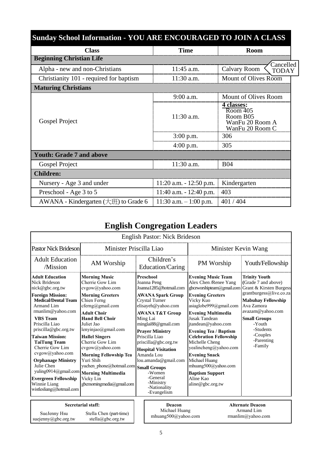| <b>Sunday School Information - YOU ARE ENCOURAGED TO JOIN A CLASS</b> |                            |                                                                                               |
|-----------------------------------------------------------------------|----------------------------|-----------------------------------------------------------------------------------------------|
| <b>Class</b>                                                          | <b>Time</b>                | <b>Room</b>                                                                                   |
| <b>Beginning Christian Life</b>                                       |                            |                                                                                               |
| Alpha - new and non-Christians                                        | 11:45 a.m.                 | Cancelled<br>Calvary Room<br><b>TODAY</b>                                                     |
| Christianity 101 - required for baptism                               | $11:30$ a.m.               | Mount of Olives Room                                                                          |
| <b>Maturing Christians</b>                                            |                            |                                                                                               |
|                                                                       | $9:00$ a.m.                | Mount of Olives Room                                                                          |
| Gospel Project                                                        | $11:30$ a.m.               | 4 classes:<br>$\overline{\text{Room } 405}$<br>Room B05<br>WanFu 20 Room A<br>WanFu 20 Room C |
|                                                                       | $3:00$ p.m.                | 306                                                                                           |
|                                                                       | $4:00$ p.m.                | 305                                                                                           |
| <b>Youth: Grade 7 and above</b>                                       |                            |                                                                                               |
| Gospel Project                                                        | 11:30 a.m.                 | <b>B04</b>                                                                                    |
| <b>Children:</b>                                                      |                            |                                                                                               |
| Nursery - Age 3 and under                                             | $11:20$ a.m. $-12:50$ p.m. | Kindergarten                                                                                  |
| Preschool - Age 3 to 5                                                | $11:40$ a.m. $-12:40$ p.m. | 403                                                                                           |
| AWANA - Kindergarten $(\pm \mathcal{H})$ to Grade 6                   | $11:30$ a.m. $-1:00$ p.m.  | 401/404                                                                                       |

# **English Congregation Leaders**

|                                                                                                                                                                                                                                                                                                                                                                                                                                                          |                                                                                                                                                                                                                                                                                                                                                                                                                                    | <b>English Pastor: Nick Brideson</b>                                                                                                                                                                                                                                                                                                                                                                                     |                                                                                                                                                                                                                                                                                                                                                                                                                                                              |                                                                                                                                                                                                                                                     |
|----------------------------------------------------------------------------------------------------------------------------------------------------------------------------------------------------------------------------------------------------------------------------------------------------------------------------------------------------------------------------------------------------------------------------------------------------------|------------------------------------------------------------------------------------------------------------------------------------------------------------------------------------------------------------------------------------------------------------------------------------------------------------------------------------------------------------------------------------------------------------------------------------|--------------------------------------------------------------------------------------------------------------------------------------------------------------------------------------------------------------------------------------------------------------------------------------------------------------------------------------------------------------------------------------------------------------------------|--------------------------------------------------------------------------------------------------------------------------------------------------------------------------------------------------------------------------------------------------------------------------------------------------------------------------------------------------------------------------------------------------------------------------------------------------------------|-----------------------------------------------------------------------------------------------------------------------------------------------------------------------------------------------------------------------------------------------------|
| <b>Pastor Nick Brideson</b>                                                                                                                                                                                                                                                                                                                                                                                                                              | Minister Priscilla Liao                                                                                                                                                                                                                                                                                                                                                                                                            |                                                                                                                                                                                                                                                                                                                                                                                                                          | Minister Kevin Wang                                                                                                                                                                                                                                                                                                                                                                                                                                          |                                                                                                                                                                                                                                                     |
| <b>Adult Education</b><br>/Mission                                                                                                                                                                                                                                                                                                                                                                                                                       | AM Worship                                                                                                                                                                                                                                                                                                                                                                                                                         | Children's<br>Education/Caring                                                                                                                                                                                                                                                                                                                                                                                           | PM Worship                                                                                                                                                                                                                                                                                                                                                                                                                                                   | Youth/Fellowship                                                                                                                                                                                                                                    |
| <b>Adult Education</b><br>Nick Brideson<br>nick@gbc.org.tw<br><b>Foreign Mission:</b><br><b>Medical/Dental Team</b><br>Armand Lim<br>rmanlim@yahoo.com<br><b>VBS</b> Team<br>Priscilla Liao<br>priscilla@gbc.org.tw<br><b>Taiwan Mission:</b><br><b>TaiTung Team</b><br>Cherrie Gow Lim<br>cvgow@yahoo.com<br><b>Orphanage Ministry</b><br>Julie Chen<br>yuling0914@gmail.com<br><b>Evergreen Fellowship</b><br>Winnie Liang<br>wistlesliang@hotmail.com | <b>Morning Music</b><br>Cherrie Gow Lim<br>cvgow@yahoo.com<br><b>Morning Greeters</b><br>Chien Ferng<br>$cferng(a)$ gmail.com<br><b>Adult Choir</b><br><b>Hand Bell Choir</b><br>Juliet Jao<br>lenyinjao@gmail.com<br><b>Hallel Singers</b><br>Cherrie Gow Lim<br>cvgow@yahoo.com<br><b>Morning Fellowship Tea</b><br>Yuri Shih<br>yuchen phone@hotmail.com<br><b>Morning Multimedia</b><br>Vicky Lin<br>gbcmorningmedia@gmail.com | Preschool<br>Joanna Peng<br>Joanna1285@hotmail.com<br>AWANA Spark Group<br><b>Crystal Turner</b><br>elisayeh@yahoo.com<br><b>AWANA T&amp;T Group</b><br>Ming Lai<br>minglai88@gmail.com<br><b>Praver Ministry</b><br>Priscilla Liao<br>priscilla@gbc.org.tw<br><b>Hospital Visitation</b><br>Amanda Lou<br>lou.amanda@gmail.com<br><b>Small Groups</b><br>-Women<br>-General<br>-Ministry<br>-Nationality<br>-Evangelism | <b>Evening Music Team</b><br>Alex Chen /Renee Yang<br>gbceworshipteam@gmail.com<br><b>Evening Greeters</b><br>Vicky Kuo<br>asiaglobe999@gmail.com<br><b>Evening Multimedia</b><br>Jusak Tandean<br>jtandean@yahoo.com<br><b>Evening Tea / Baptism</b><br><b>Celebration Fellowship</b><br>Michelle Cheng<br>yealincheng@yahoo.com<br><b>Evening Snack</b><br>Michael Huang<br>mhuang500@yahoo.com<br><b>Baptism Support</b><br>Aline Kao<br>aline@gbc.org.tw | <b>Trinity Youth</b><br>(Grade 7 and above)<br>Grant & Kirsten Burgess<br>grantburgess@live.co.za<br><b>Mabuhay Fellowship</b><br>Ava Zamora<br>avazam@yahoo.com<br><b>Small Groups</b><br>-Youth<br>-Students<br>-Couples<br>-Parenting<br>-Family |
| SueJenny Hsu<br>suejenny@gbc.org.tw                                                                                                                                                                                                                                                                                                                                                                                                                      | <b>Secretarial staff:</b><br>Stella Chen (part-time)<br>stella@gbc.org.tw                                                                                                                                                                                                                                                                                                                                                          | Deacon<br>Michael Huang<br>mhuang500@yahoo.com                                                                                                                                                                                                                                                                                                                                                                           |                                                                                                                                                                                                                                                                                                                                                                                                                                                              | <b>Alternate Deacon</b><br>Armand Lim<br>rmanlim@yahoo.com                                                                                                                                                                                          |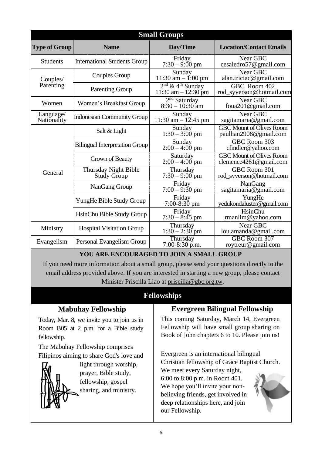|                          |                                            | <b>Small Groups</b>                                     |                                                           |
|--------------------------|--------------------------------------------|---------------------------------------------------------|-----------------------------------------------------------|
| <b>Type of Group</b>     | <b>Name</b>                                | Day/Time                                                | <b>Location/Contact Emails</b>                            |
| <b>Students</b>          | <b>International Students Group</b>        | Friday<br>$7:30 - 9:00 \text{ pm}$                      | Near GBC<br>cesaledro57@gmail.com                         |
| Couples/                 | <b>Couples Group</b>                       | Sunday<br>11:30 am $-$ 1:00 pm                          | Near GBC<br>alan.triciac@gmail.com                        |
| Parenting                | <b>Parenting Group</b>                     | $2nd$ & 4 <sup>th</sup> Sunday<br>11:30 am $- 12:30$ pm | GBC Room 402<br>rod_syverson@hotmail.com                  |
| Women                    | Women's Breakfast Group                    | $2nd$ Saturday<br>$8:30 - 10:30$ am                     | Near GBC<br>foua201@gmail.com                             |
| Language/<br>Nationality | <b>Indonesian Community Group</b>          | Sunday<br>11:30 am $- 12:45$ pm                         | Near GBC<br>sagitamaria@gmail.com                         |
|                          | Salt & Light                               | Sunday<br>$1:30 - 3:00$ pm                              | <b>GBC Mount of Olives Room</b><br>paulhan2908@gmail.com  |
|                          | <b>Bilingual Interpretation Group</b>      | Sunday<br>$2:00 - 4:00$ pm                              | GBC Room 303<br>cfindler@yahoo.com                        |
|                          | Crown of Beauty                            | Saturday<br>$2:00 - 4:00$ pm                            | <b>GBC Mount of Olives Room</b><br>clemence4261@gmail.com |
| General                  | Thursday Night Bible<br><b>Study Group</b> | Thursday<br>$7:30 - 9:00$ pm                            | GBC Room 301<br>rod_syverson@hotmail.com                  |
|                          | NanGang Group                              | Friday<br>$7:00 - 9:30$ pm                              | NanGang<br>sagitamaria@gmail.com                          |
|                          | YungHe Bible Study Group                   | Friday<br>$7:00-8:30$ pm                                | YungHe<br>yedukondaluster@gmail.com                       |
|                          | HsinChu Bible Study Group                  | Friday<br>$7:30 - 8:45$ pm                              | HsinChu<br>rmanlim@yahoo.com                              |
| Ministry                 | <b>Hospital Visitation Group</b>           | Thursday<br>$1:30 - 2:30$ pm                            | Near GBC<br>lou.amanda@gmail.com                          |
| Evangelism               | Personal Evangelism Group                  | Thursday<br>$7:00-8:30$ p.m.                            | GBC Room 307<br>roytreur@gmail.com                        |

### **YOU ARE ENCOURAGED TO JOIN A SMALL GROUP**

If you need more information about a small group, please send your questions directly to the email address provided above. If you are interested in starting a new group, please contact Minister Priscilla Liao at [priscilla@gbc.org.tw.](mailto:priscilla@gbc.org.tw)

## **Fellowships**

#### **Mabuhay Fellowship** Today, Mar. 8, we invite you to join us in Room B05 at 2 p.m. for a Bible study fellowship. The Mabuhay Fellowship comprises Filipinos aiming to share God's love and light through worship, prayer, Bible study, fellowship, gospel sharing, and ministry. **Evergreen Bilingual Fellowship** This coming Saturday, March 14, Evergreen Fellowship will have small group sharing on Book of John chapters 6 to 10. Please join us! Evergreen is an international bilingual Christian fellowship of Grace Baptist Church. We meet every Saturday night, 6:00 to 8:00 p.m. in Room 401. We hope you'll invite your nonbelieving friends, get involved in deep relationships here, and join our Fellowship.